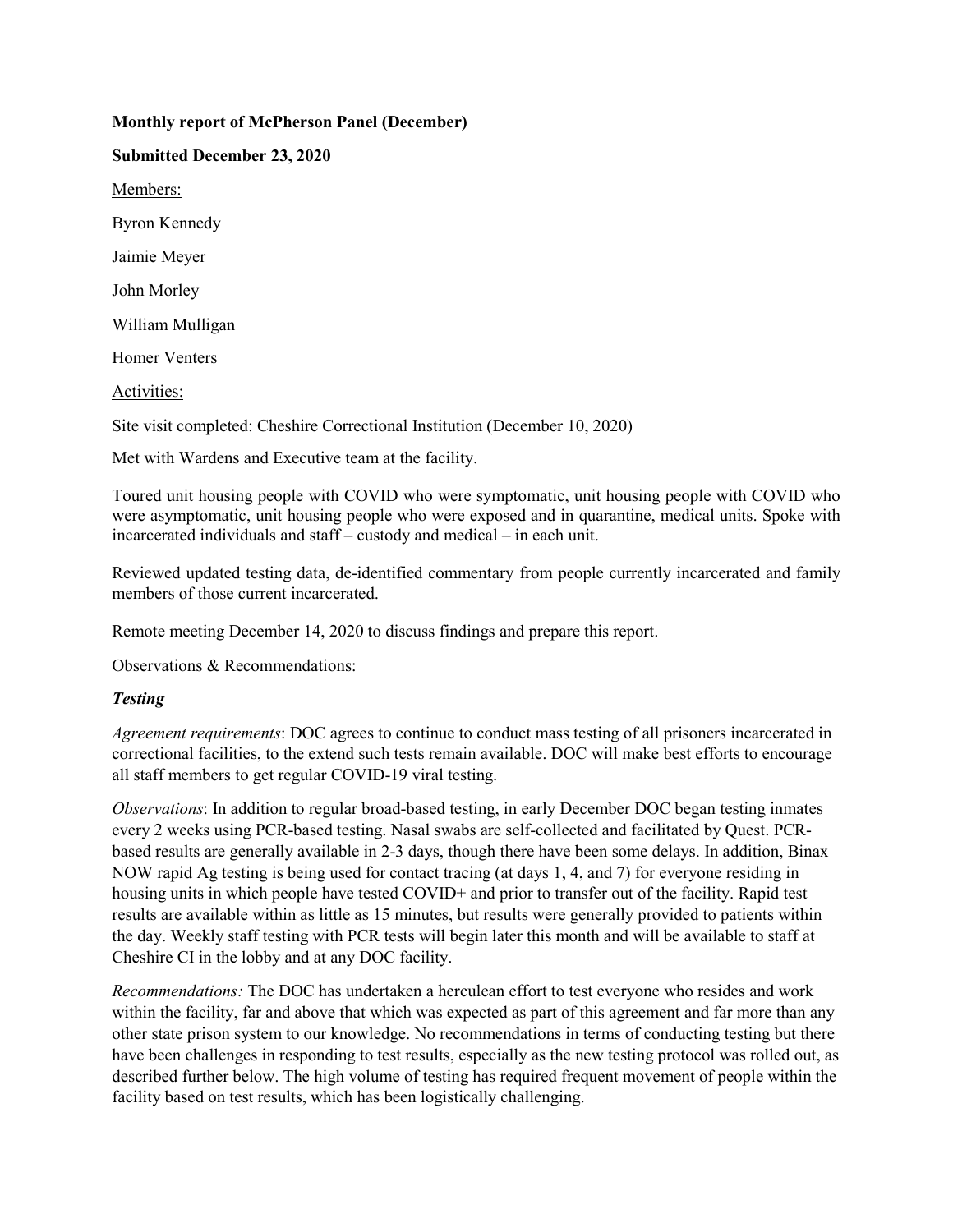### **Monthly report of McPherson Panel (December)**

**Submitted December 23, 2020** Members: Byron Kennedy Jaimie Meyer John Morley William Mulligan Homer Venters Activities:

Site visit completed: Cheshire Correctional Institution (December 10, 2020)

Met with Wardens and Executive team at the facility.

Toured unit housing people with COVID who were symptomatic, unit housing people with COVID who were asymptomatic, unit housing people who were exposed and in quarantine, medical units. Spoke with incarcerated individuals and staff – custody and medical – in each unit.

Reviewed updated testing data, de-identified commentary from people currently incarcerated and family members of those current incarcerated.

Remote meeting December 14, 2020 to discuss findings and prepare this report.

Observations & Recommendations:

### *Testing*

*Agreement requirements*: DOC agrees to continue to conduct mass testing of all prisoners incarcerated in correctional facilities, to the extend such tests remain available. DOC will make best efforts to encourage all staff members to get regular COVID-19 viral testing.

*Observations*: In addition to regular broad-based testing, in early December DOC began testing inmates every 2 weeks using PCR-based testing. Nasal swabs are self-collected and facilitated by Quest. PCRbased results are generally available in 2-3 days, though there have been some delays. In addition, Binax NOW rapid Ag testing is being used for contact tracing (at days 1, 4, and 7) for everyone residing in housing units in which people have tested COVID+ and prior to transfer out of the facility. Rapid test results are available within as little as 15 minutes, but results were generally provided to patients within the day. Weekly staff testing with PCR tests will begin later this month and will be available to staff at Cheshire CI in the lobby and at any DOC facility.

*Recommendations:* The DOC has undertaken a herculean effort to test everyone who resides and work within the facility, far and above that which was expected as part of this agreement and far more than any other state prison system to our knowledge. No recommendations in terms of conducting testing but there have been challenges in responding to test results, especially as the new testing protocol was rolled out, as described further below. The high volume of testing has required frequent movement of people within the facility based on test results, which has been logistically challenging.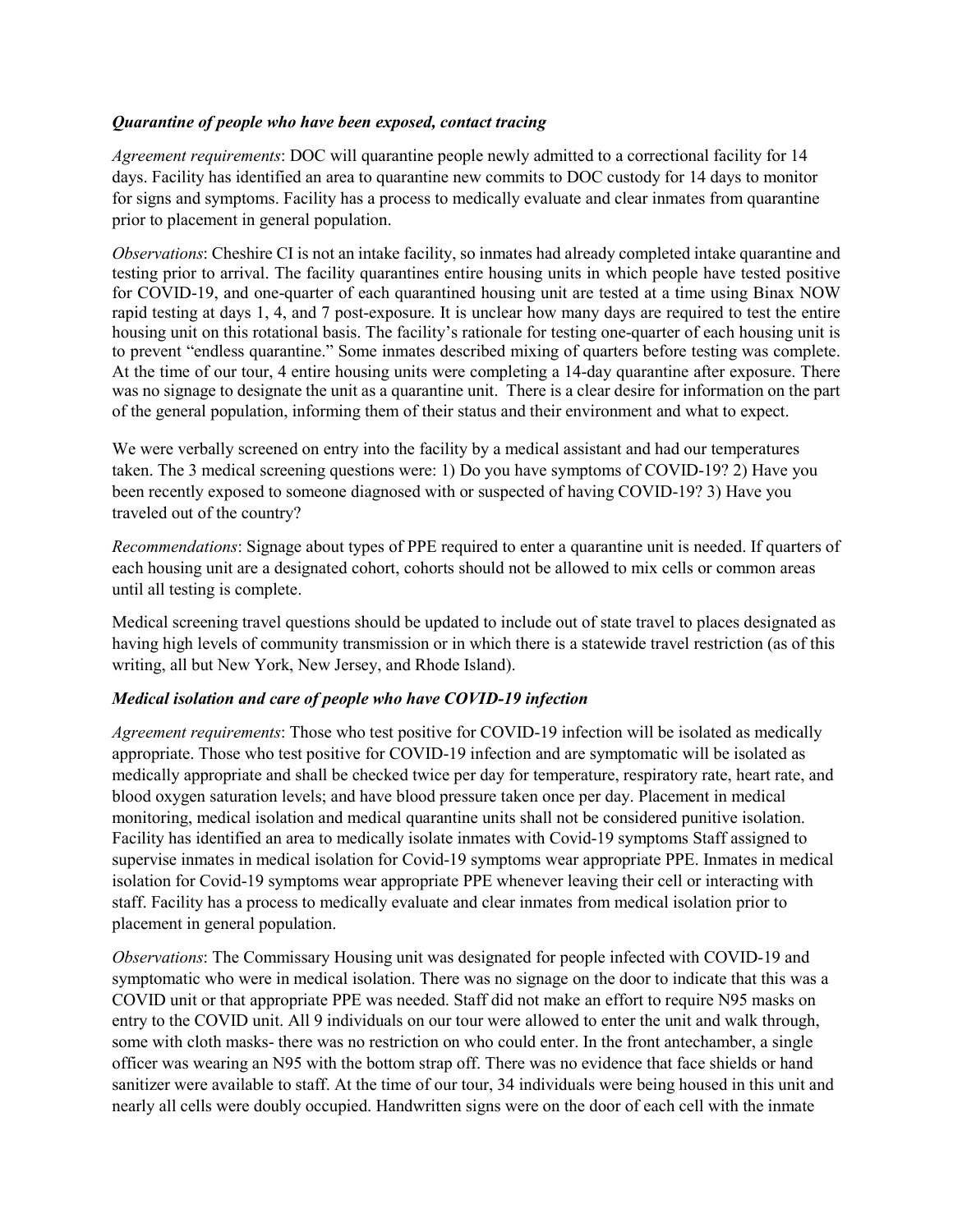### *Quarantine of people who have been exposed, contact tracing*

*Agreement requirements*: DOC will quarantine people newly admitted to a correctional facility for 14 days. Facility has identified an area to quarantine new commits to DOC custody for 14 days to monitor for signs and symptoms. Facility has a process to medically evaluate and clear inmates from quarantine prior to placement in general population.

*Observations*: Cheshire CI is not an intake facility, so inmates had already completed intake quarantine and testing prior to arrival. The facility quarantines entire housing units in which people have tested positive for COVID-19, and one-quarter of each quarantined housing unit are tested at a time using Binax NOW rapid testing at days 1, 4, and 7 post-exposure. It is unclear how many days are required to test the entire housing unit on this rotational basis. The facility's rationale for testing one-quarter of each housing unit is to prevent "endless quarantine." Some inmates described mixing of quarters before testing was complete. At the time of our tour, 4 entire housing units were completing a 14-day quarantine after exposure. There was no signage to designate the unit as a quarantine unit. There is a clear desire for information on the part of the general population, informing them of their status and their environment and what to expect.

We were verbally screened on entry into the facility by a medical assistant and had our temperatures taken. The 3 medical screening questions were: 1) Do you have symptoms of COVID-19? 2) Have you been recently exposed to someone diagnosed with or suspected of having COVID-19? 3) Have you traveled out of the country?

*Recommendations*: Signage about types of PPE required to enter a quarantine unit is needed. If quarters of each housing unit are a designated cohort, cohorts should not be allowed to mix cells or common areas until all testing is complete.

Medical screening travel questions should be updated to include out of state travel to places designated as having high levels of community transmission or in which there is a statewide travel restriction (as of this writing, all but New York, New Jersey, and Rhode Island).

### *Medical isolation and care of people who have COVID-19 infection*

*Agreement requirements*: Those who test positive for COVID-19 infection will be isolated as medically appropriate. Those who test positive for COVID-19 infection and are symptomatic will be isolated as medically appropriate and shall be checked twice per day for temperature, respiratory rate, heart rate, and blood oxygen saturation levels; and have blood pressure taken once per day. Placement in medical monitoring, medical isolation and medical quarantine units shall not be considered punitive isolation. Facility has identified an area to medically isolate inmates with Covid-19 symptoms Staff assigned to supervise inmates in medical isolation for Covid-19 symptoms wear appropriate PPE. Inmates in medical isolation for Covid-19 symptoms wear appropriate PPE whenever leaving their cell or interacting with staff. Facility has a process to medically evaluate and clear inmates from medical isolation prior to placement in general population.

*Observations*: The Commissary Housing unit was designated for people infected with COVID-19 and symptomatic who were in medical isolation. There was no signage on the door to indicate that this was a COVID unit or that appropriate PPE was needed. Staff did not make an effort to require N95 masks on entry to the COVID unit. All 9 individuals on our tour were allowed to enter the unit and walk through, some with cloth masks- there was no restriction on who could enter. In the front antechamber, a single officer was wearing an N95 with the bottom strap off. There was no evidence that face shields or hand sanitizer were available to staff. At the time of our tour, 34 individuals were being housed in this unit and nearly all cells were doubly occupied. Handwritten signs were on the door of each cell with the inmate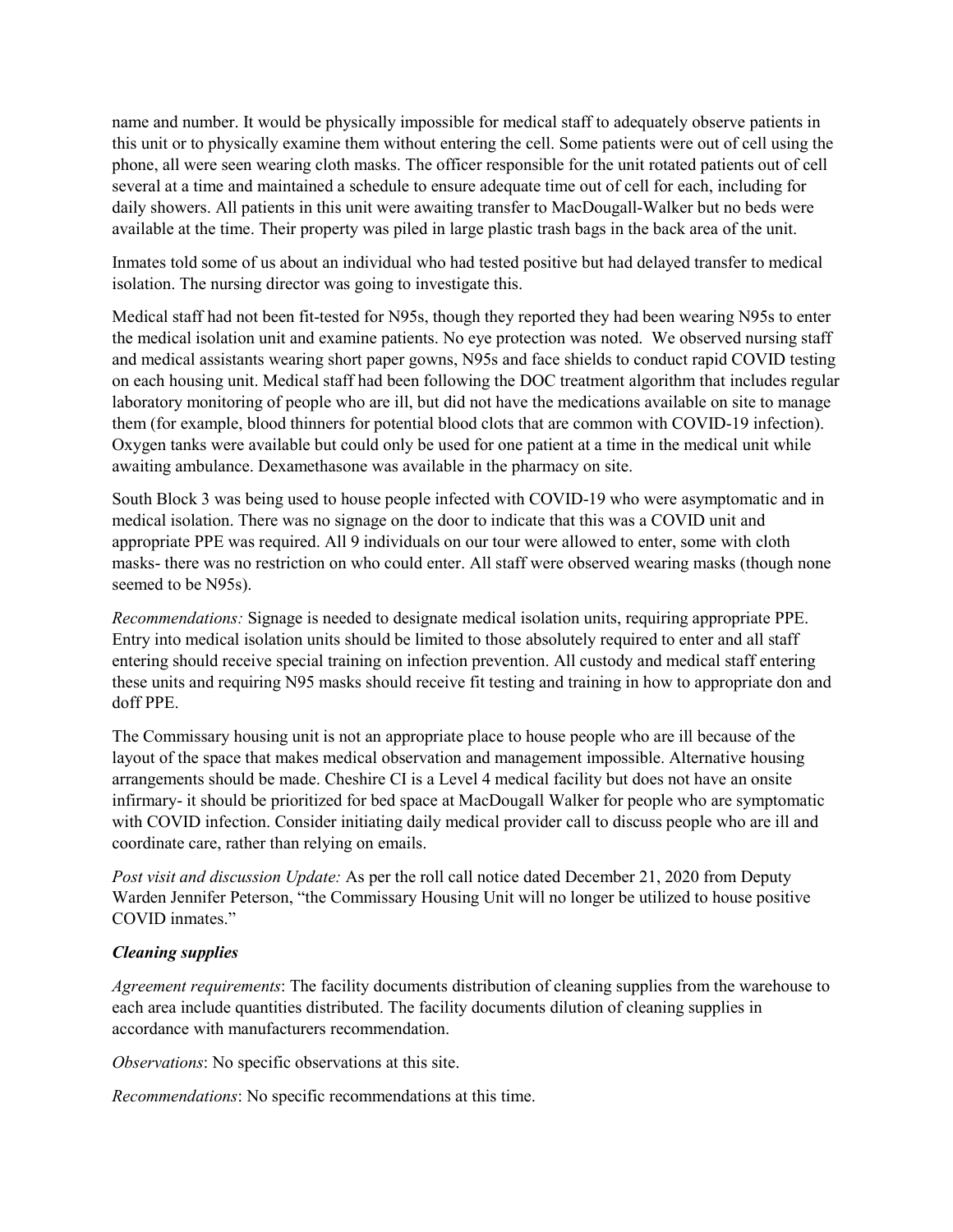name and number. It would be physically impossible for medical staff to adequately observe patients in this unit or to physically examine them without entering the cell. Some patients were out of cell using the phone, all were seen wearing cloth masks. The officer responsible for the unit rotated patients out of cell several at a time and maintained a schedule to ensure adequate time out of cell for each, including for daily showers. All patients in this unit were awaiting transfer to MacDougall-Walker but no beds were available at the time. Their property was piled in large plastic trash bags in the back area of the unit.

Inmates told some of us about an individual who had tested positive but had delayed transfer to medical isolation. The nursing director was going to investigate this.

Medical staff had not been fit-tested for N95s, though they reported they had been wearing N95s to enter the medical isolation unit and examine patients. No eye protection was noted. We observed nursing staff and medical assistants wearing short paper gowns, N95s and face shields to conduct rapid COVID testing on each housing unit. Medical staff had been following the DOC treatment algorithm that includes regular laboratory monitoring of people who are ill, but did not have the medications available on site to manage them (for example, blood thinners for potential blood clots that are common with COVID-19 infection). Oxygen tanks were available but could only be used for one patient at a time in the medical unit while awaiting ambulance. Dexamethasone was available in the pharmacy on site.

South Block 3 was being used to house people infected with COVID-19 who were asymptomatic and in medical isolation. There was no signage on the door to indicate that this was a COVID unit and appropriate PPE was required. All 9 individuals on our tour were allowed to enter, some with cloth masks- there was no restriction on who could enter. All staff were observed wearing masks (though none seemed to be N95s).

*Recommendations:* Signage is needed to designate medical isolation units, requiring appropriate PPE. Entry into medical isolation units should be limited to those absolutely required to enter and all staff entering should receive special training on infection prevention. All custody and medical staff entering these units and requiring N95 masks should receive fit testing and training in how to appropriate don and doff PPE.

The Commissary housing unit is not an appropriate place to house people who are ill because of the layout of the space that makes medical observation and management impossible. Alternative housing arrangements should be made. Cheshire CI is a Level 4 medical facility but does not have an onsite infirmary- it should be prioritized for bed space at MacDougall Walker for people who are symptomatic with COVID infection. Consider initiating daily medical provider call to discuss people who are ill and coordinate care, rather than relying on emails.

*Post visit and discussion Update:* As per the roll call notice dated December 21, 2020 from Deputy Warden Jennifer Peterson, "the Commissary Housing Unit will no longer be utilized to house positive COVID inmates."

### *Cleaning supplies*

*Agreement requirements*: The facility documents distribution of cleaning supplies from the warehouse to each area include quantities distributed. The facility documents dilution of cleaning supplies in accordance with manufacturers recommendation.

*Observations*: No specific observations at this site.

*Recommendations*: No specific recommendations at this time.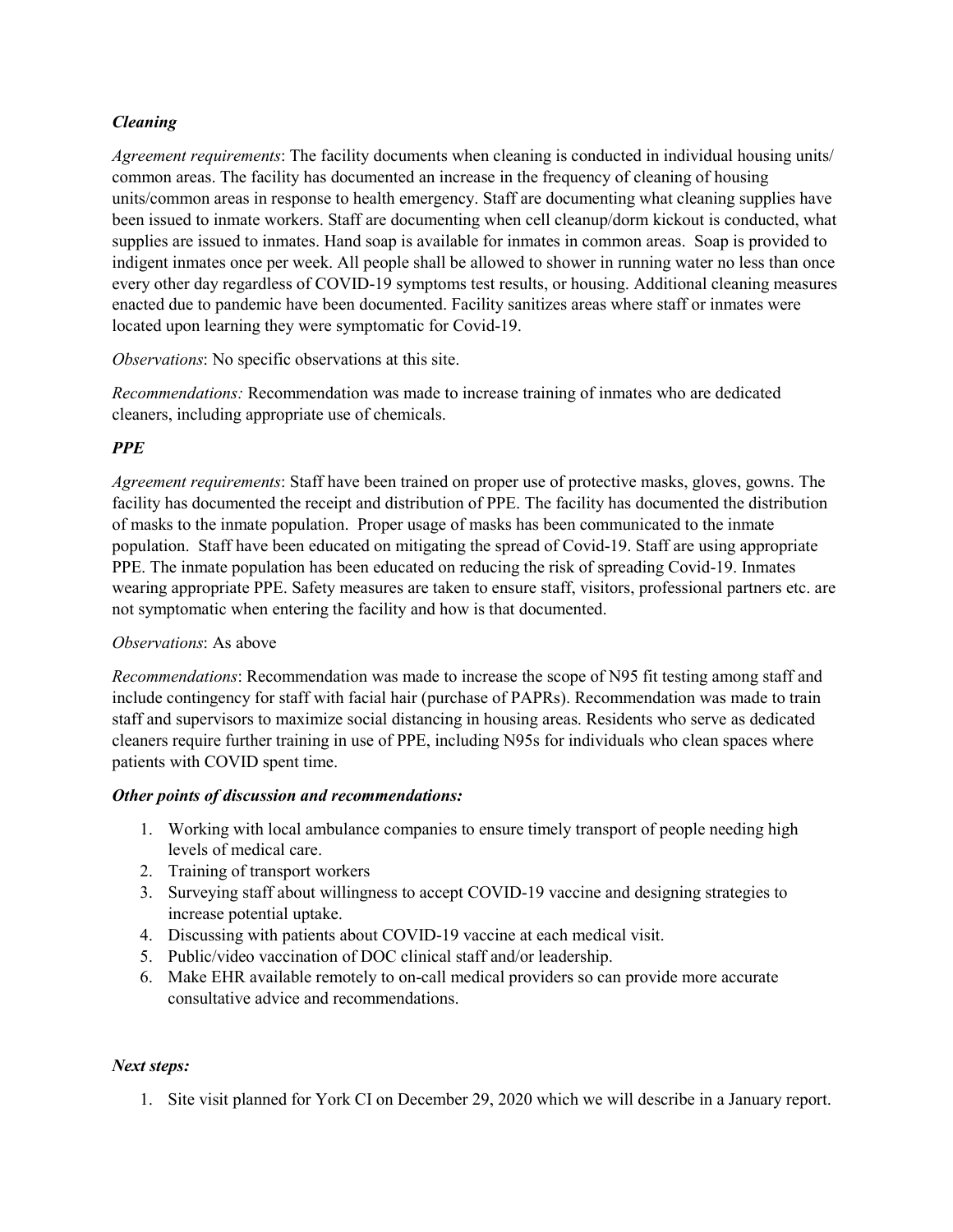# *Cleaning*

*Agreement requirements*: The facility documents when cleaning is conducted in individual housing units/ common areas. The facility has documented an increase in the frequency of cleaning of housing units/common areas in response to health emergency. Staff are documenting what cleaning supplies have been issued to inmate workers. Staff are documenting when cell cleanup/dorm kickout is conducted, what supplies are issued to inmates. Hand soap is available for inmates in common areas. Soap is provided to indigent inmates once per week. All people shall be allowed to shower in running water no less than once every other day regardless of COVID-19 symptoms test results, or housing. Additional cleaning measures enacted due to pandemic have been documented. Facility sanitizes areas where staff or inmates were located upon learning they were symptomatic for Covid-19.

*Observations*: No specific observations at this site.

*Recommendations:* Recommendation was made to increase training of inmates who are dedicated cleaners, including appropriate use of chemicals.

# *PPE*

*Agreement requirements*: Staff have been trained on proper use of protective masks, gloves, gowns. The facility has documented the receipt and distribution of PPE. The facility has documented the distribution of masks to the inmate population. Proper usage of masks has been communicated to the inmate population. Staff have been educated on mitigating the spread of Covid-19. Staff are using appropriate PPE. The inmate population has been educated on reducing the risk of spreading Covid-19. Inmates wearing appropriate PPE. Safety measures are taken to ensure staff, visitors, professional partners etc. are not symptomatic when entering the facility and how is that documented.

### *Observations*: As above

*Recommendations*: Recommendation was made to increase the scope of N95 fit testing among staff and include contingency for staff with facial hair (purchase of PAPRs). Recommendation was made to train staff and supervisors to maximize social distancing in housing areas. Residents who serve as dedicated cleaners require further training in use of PPE, including N95s for individuals who clean spaces where patients with COVID spent time.

### *Other points of discussion and recommendations:*

- 1. Working with local ambulance companies to ensure timely transport of people needing high levels of medical care.
- 2. Training of transport workers
- 3. Surveying staff about willingness to accept COVID-19 vaccine and designing strategies to increase potential uptake.
- 4. Discussing with patients about COVID-19 vaccine at each medical visit.
- 5. Public/video vaccination of DOC clinical staff and/or leadership.
- 6. Make EHR available remotely to on-call medical providers so can provide more accurate consultative advice and recommendations.

# *Next steps:*

1. Site visit planned for York CI on December 29, 2020 which we will describe in a January report.